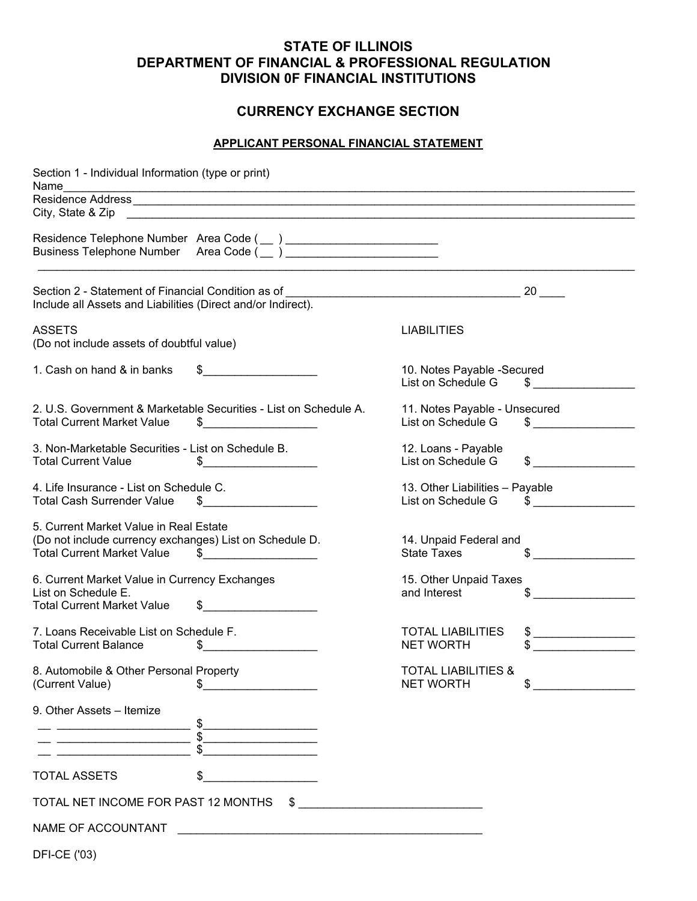### **STATE OF ILLINOIS DEPARTMENT OF FINANCIAL & PROFESSIONAL REGULATION DIVISION 0F FINANCIAL INSTITUTIONS**

#### **CURRENCY EXCHANGE SECTION**

#### **APPLICANT PERSONAL FINANCIAL STATEMENT**

| Section 1 - Individual Information (type or print)                                                                                     |                                                                       |                                                       |                         |
|----------------------------------------------------------------------------------------------------------------------------------------|-----------------------------------------------------------------------|-------------------------------------------------------|-------------------------|
| Name                                                                                                                                   |                                                                       |                                                       |                         |
| City, State & Zip                                                                                                                      |                                                                       |                                                       |                         |
|                                                                                                                                        |                                                                       |                                                       |                         |
| Section 2 - Statement of Financial Condition as of<br>Include all Assets and Liabilities (Direct and/or Indirect).                     |                                                                       |                                                       |                         |
| <b>ASSETS</b><br>(Do not include assets of doubtful value)                                                                             |                                                                       | <b>LIABILITIES</b>                                    |                         |
| 1. Cash on hand & in banks                                                                                                             |                                                                       | 10. Notes Payable -Secured<br>List on Schedule G      | $\sim$                  |
| <b>Total Current Market Value</b>                                                                                                      | 2. U.S. Government & Marketable Securities - List on Schedule A.<br>S | 11. Notes Payable - Unsecured<br>List on Schedule G   |                         |
| 3. Non-Marketable Securities - List on Schedule B.<br><b>Total Current Value</b>                                                       | S.                                                                    | 12. Loans - Payable<br>List on Schedule G             | \$                      |
| 4. Life Insurance - List on Schedule C.<br><b>Total Cash Surrender Value</b>                                                           |                                                                       | 13. Other Liabilities - Payable<br>List on Schedule G | $\overline{\mathbb{S}}$ |
| 5. Current Market Value in Real Estate<br>(Do not include currency exchanges) List on Schedule D.<br><b>Total Current Market Value</b> |                                                                       | 14. Unpaid Federal and<br><b>State Taxes</b>          | \$                      |
| 6. Current Market Value in Currency Exchanges<br>List on Schedule E.<br><b>Total Current Market Value</b>                              | \$                                                                    | 15. Other Unpaid Taxes<br>and Interest                |                         |
| 7. Loans Receivable List on Schedule F.<br><b>Total Current Balance</b>                                                                | \$                                                                    | <b>TOTAL LIABILITIES</b><br><b>NET WORTH</b>          |                         |
| 8. Automobile & Other Personal Property<br>(Current Value)                                                                             |                                                                       | <b>TOTAL LIABILITIES &amp;</b><br><b>NET WORTH</b>    | \$                      |
| 9. Other Assets - Itemize                                                                                                              |                                                                       |                                                       |                         |
| <u>.</u>                                                                                                                               | <u> 1990 - Johann Barbara, martin a</u>                               |                                                       |                         |
| <b>TOTAL ASSETS</b>                                                                                                                    |                                                                       |                                                       |                         |
| TOTAL NET INCOME FOR PAST 12 MONTHS                                                                                                    |                                                                       | $\frac{1}{2}$                                         |                         |
| NAME OF ACCOUNTANT                                                                                                                     |                                                                       |                                                       |                         |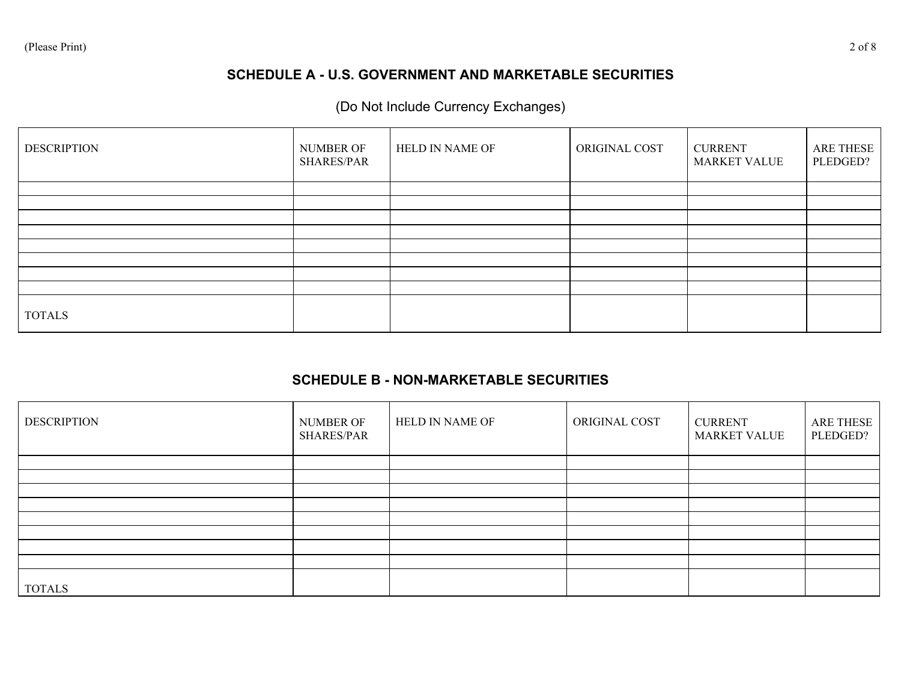# **SCHEDULE A - U.S. GOVERNMENT AND MARKETABLE SECURITIES**

# (Do Not Include Currency Exchanges)

| <b>DESCRIPTION</b> | NUMBER OF<br>SHARES/PAR | HELD IN NAME OF | ORIGINAL COST | <b>CURRENT</b><br><b>MARKET VALUE</b> | ARE THESE<br>PLEDGED? |
|--------------------|-------------------------|-----------------|---------------|---------------------------------------|-----------------------|
|                    |                         |                 |               |                                       |                       |
|                    |                         |                 |               |                                       |                       |
|                    |                         |                 |               |                                       |                       |
|                    |                         |                 |               |                                       |                       |
|                    |                         |                 |               |                                       |                       |
|                    |                         |                 |               |                                       |                       |
|                    |                         |                 |               |                                       |                       |
|                    |                         |                 |               |                                       |                       |
| <b>TOTALS</b>      |                         |                 |               |                                       |                       |

#### **SCHEDULE B - NON-MARKETABLE SECURITIES**

| <b>DESCRIPTION</b> | NUMBER OF<br>SHARES/PAR | HELD IN NAME OF | ORIGINAL COST | <b>CURRENT</b><br><b>MARKET VALUE</b> | ARE THESE<br>PLEDGED? |
|--------------------|-------------------------|-----------------|---------------|---------------------------------------|-----------------------|
|                    |                         |                 |               |                                       |                       |
|                    |                         |                 |               |                                       |                       |
|                    |                         |                 |               |                                       |                       |
|                    |                         |                 |               |                                       |                       |
|                    |                         |                 |               |                                       |                       |
|                    |                         |                 |               |                                       |                       |
|                    |                         |                 |               |                                       |                       |
|                    |                         |                 |               |                                       |                       |
| <b>TOTALS</b>      |                         |                 |               |                                       |                       |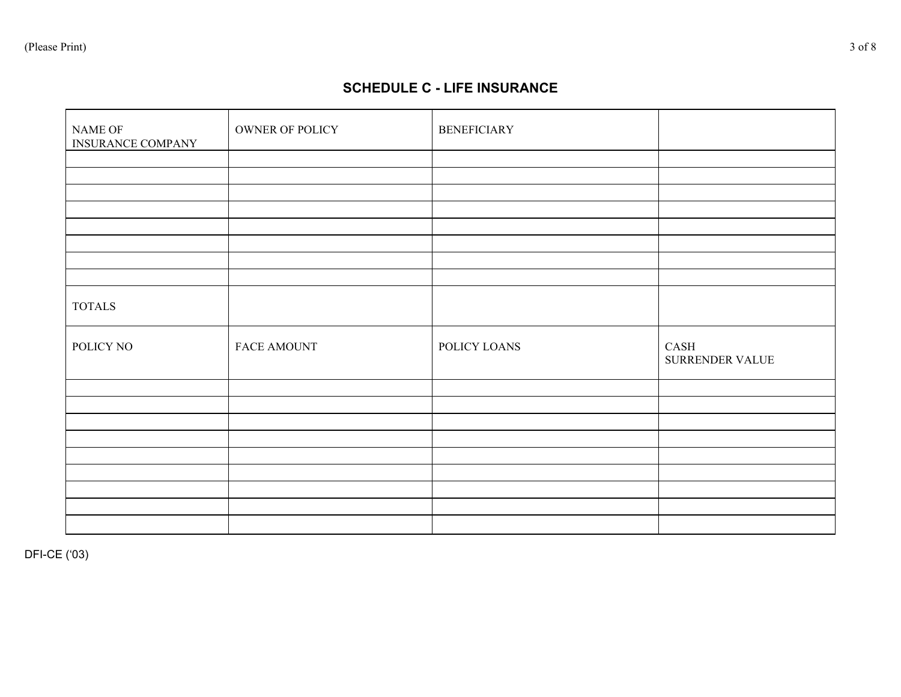#### **SCHEDULE C - LIFE INSURANCE**

| NAME OF<br>INSURANCE COMPANY | OWNER OF POLICY | <b>BENEFICIARY</b> |                         |
|------------------------------|-----------------|--------------------|-------------------------|
|                              |                 |                    |                         |
|                              |                 |                    |                         |
|                              |                 |                    |                         |
|                              |                 |                    |                         |
|                              |                 |                    |                         |
|                              |                 |                    |                         |
|                              |                 |                    |                         |
|                              |                 |                    |                         |
| $\operatorname{TOTALS}$      |                 |                    |                         |
| POLICY NO                    | FACE AMOUNT     | POLICY LOANS       | CASH<br>SURRENDER VALUE |
|                              |                 |                    |                         |
|                              |                 |                    |                         |
|                              |                 |                    |                         |
|                              |                 |                    |                         |
|                              |                 |                    |                         |
|                              |                 |                    |                         |
|                              |                 |                    |                         |
|                              |                 |                    |                         |
|                              |                 |                    |                         |

DFI-CE ('03)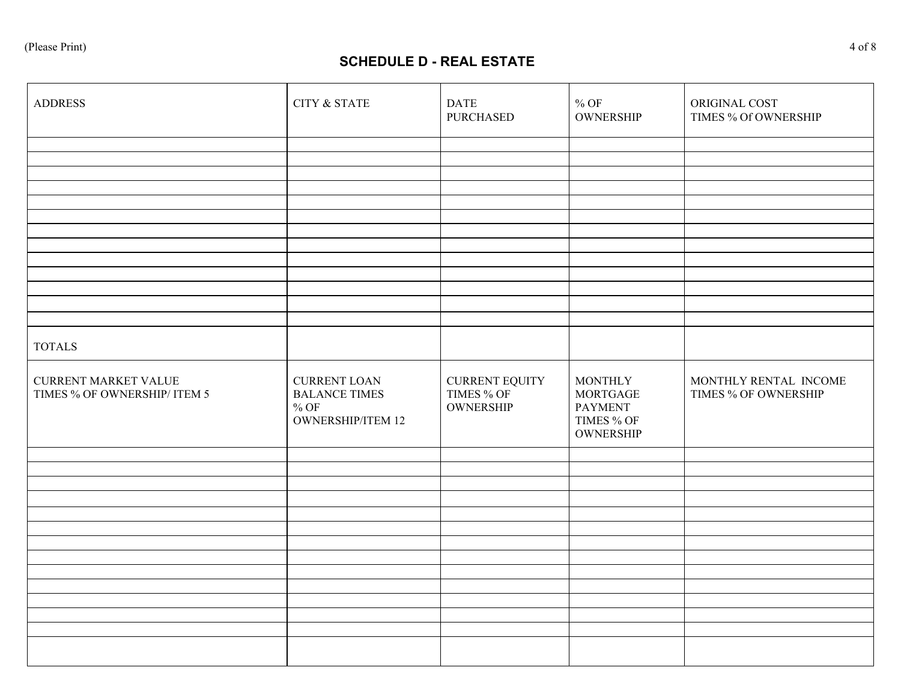# **SCHEDULE D - REAL ESTATE**

| <b>ADDRESS</b>                                              | CITY & STATE                                                                       | <b>DATE</b><br><b>PURCHASED</b>                         | $\%$ OF<br>OWNERSHIP                                                                  | ORIGINAL COST<br>TIMES % Of OWNERSHIP         |
|-------------------------------------------------------------|------------------------------------------------------------------------------------|---------------------------------------------------------|---------------------------------------------------------------------------------------|-----------------------------------------------|
|                                                             |                                                                                    |                                                         |                                                                                       |                                               |
|                                                             |                                                                                    |                                                         |                                                                                       |                                               |
|                                                             |                                                                                    |                                                         |                                                                                       |                                               |
|                                                             |                                                                                    |                                                         |                                                                                       |                                               |
|                                                             |                                                                                    |                                                         |                                                                                       |                                               |
|                                                             |                                                                                    |                                                         |                                                                                       |                                               |
|                                                             |                                                                                    |                                                         |                                                                                       |                                               |
|                                                             |                                                                                    |                                                         |                                                                                       |                                               |
|                                                             |                                                                                    |                                                         |                                                                                       |                                               |
|                                                             |                                                                                    |                                                         |                                                                                       |                                               |
|                                                             |                                                                                    |                                                         |                                                                                       |                                               |
|                                                             |                                                                                    |                                                         |                                                                                       |                                               |
| <b>TOTALS</b>                                               |                                                                                    |                                                         |                                                                                       |                                               |
| <b>CURRENT MARKET VALUE</b><br>TIMES % OF OWNERSHIP/ ITEM 5 | <b>CURRENT LOAN</b><br><b>BALANCE TIMES</b><br>$\%$ OF<br><b>OWNERSHIP/ITEM 12</b> | <b>CURRENT EQUITY</b><br>TIMES % OF<br><b>OWNERSHIP</b> | <b>MONTHLY</b><br><b>MORTGAGE</b><br><b>PAYMENT</b><br>TIMES % OF<br><b>OWNERSHIP</b> | MONTHLY RENTAL INCOME<br>TIMES % OF OWNERSHIP |
|                                                             |                                                                                    |                                                         |                                                                                       |                                               |
|                                                             |                                                                                    |                                                         |                                                                                       |                                               |
|                                                             |                                                                                    |                                                         |                                                                                       |                                               |
|                                                             |                                                                                    |                                                         |                                                                                       |                                               |
|                                                             |                                                                                    |                                                         |                                                                                       |                                               |
|                                                             |                                                                                    |                                                         |                                                                                       |                                               |
|                                                             |                                                                                    |                                                         |                                                                                       |                                               |
|                                                             |                                                                                    |                                                         |                                                                                       |                                               |
|                                                             |                                                                                    |                                                         |                                                                                       |                                               |
|                                                             |                                                                                    |                                                         |                                                                                       |                                               |
|                                                             |                                                                                    |                                                         |                                                                                       |                                               |
|                                                             |                                                                                    |                                                         |                                                                                       |                                               |
|                                                             |                                                                                    |                                                         |                                                                                       |                                               |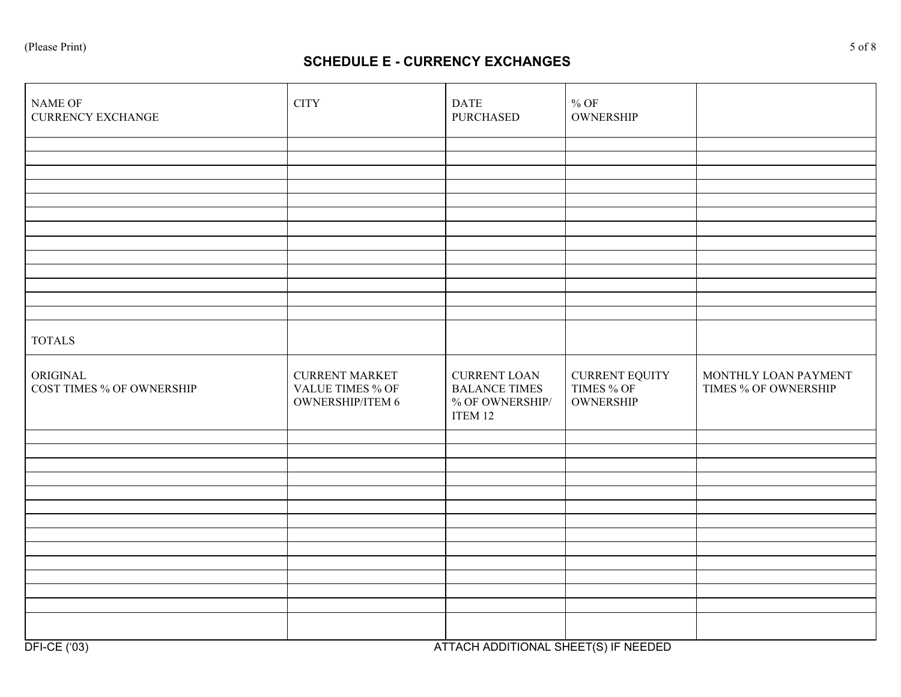### **SCHEDULE E - CURRENCY EXCHANGES**

| <b>CITY</b>                                                                 | <b>DATE</b><br><b>PURCHASED</b>                                           | $\%$ OF<br><b>OWNERSHIP</b>                             |                                              |
|-----------------------------------------------------------------------------|---------------------------------------------------------------------------|---------------------------------------------------------|----------------------------------------------|
|                                                                             |                                                                           |                                                         |                                              |
|                                                                             |                                                                           |                                                         |                                              |
|                                                                             |                                                                           |                                                         |                                              |
|                                                                             |                                                                           |                                                         |                                              |
|                                                                             |                                                                           |                                                         |                                              |
|                                                                             |                                                                           |                                                         |                                              |
|                                                                             |                                                                           |                                                         |                                              |
|                                                                             |                                                                           |                                                         |                                              |
|                                                                             |                                                                           |                                                         |                                              |
|                                                                             |                                                                           |                                                         |                                              |
|                                                                             |                                                                           |                                                         |                                              |
|                                                                             |                                                                           |                                                         |                                              |
|                                                                             |                                                                           |                                                         |                                              |
| <b>CURRENT MARKET</b><br><b>VALUE TIMES % OF</b><br><b>OWNERSHIP/ITEM 6</b> | <b>CURRENT LOAN</b><br><b>BALANCE TIMES</b><br>% OF OWNERSHIP/<br>ITEM 12 | <b>CURRENT EQUITY</b><br>TIMES % OF<br><b>OWNERSHIP</b> | MONTHLY LOAN PAYMENT<br>TIMES % OF OWNERSHIP |
|                                                                             |                                                                           |                                                         |                                              |
|                                                                             |                                                                           |                                                         |                                              |
|                                                                             |                                                                           |                                                         |                                              |
|                                                                             |                                                                           |                                                         |                                              |
|                                                                             |                                                                           |                                                         |                                              |
|                                                                             |                                                                           |                                                         |                                              |
|                                                                             |                                                                           |                                                         |                                              |
|                                                                             |                                                                           |                                                         |                                              |
|                                                                             |                                                                           |                                                         |                                              |
|                                                                             |                                                                           |                                                         |                                              |
|                                                                             |                                                                           |                                                         |                                              |
|                                                                             |                                                                           |                                                         |                                              |
|                                                                             |                                                                           |                                                         |                                              |
|                                                                             |                                                                           |                                                         | 177191115517191119117770117117177777         |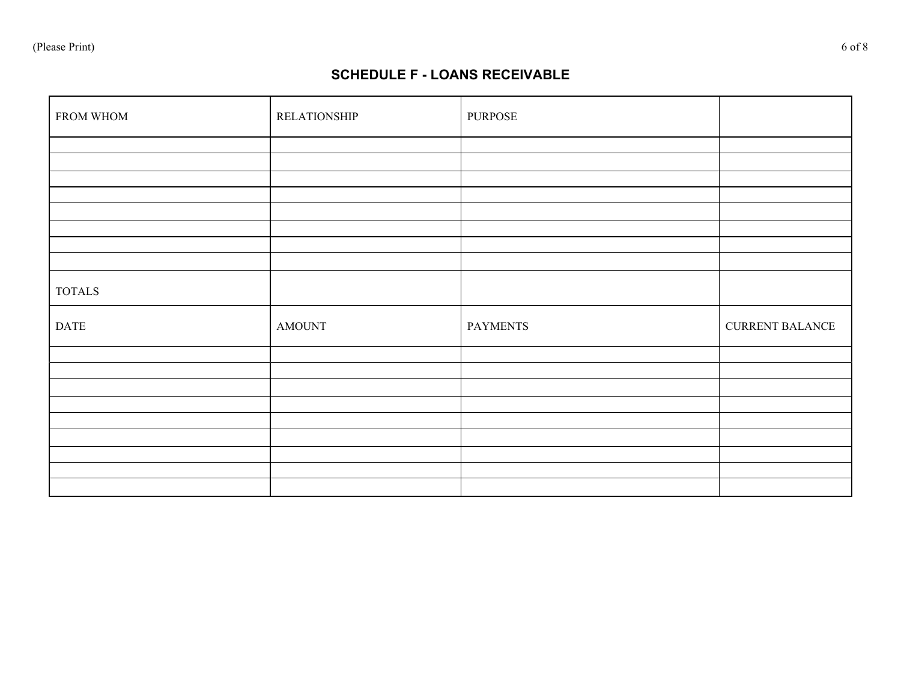## **SCHEDULE F - LOANS RECEIVABLE**

| FROM WHOM    | <b>RELATIONSHIP</b> | PURPOSE         |                        |
|--------------|---------------------|-----------------|------------------------|
|              |                     |                 |                        |
|              |                     |                 |                        |
|              |                     |                 |                        |
|              |                     |                 |                        |
|              |                     |                 |                        |
|              |                     |                 |                        |
|              |                     |                 |                        |
| $\sf TOTALS$ |                     |                 |                        |
| <b>DATE</b>  | <b>AMOUNT</b>       | <b>PAYMENTS</b> | <b>CURRENT BALANCE</b> |
|              |                     |                 |                        |
|              |                     |                 |                        |
|              |                     |                 |                        |
|              |                     |                 |                        |
|              |                     |                 |                        |
|              |                     |                 |                        |
|              |                     |                 |                        |
|              |                     |                 |                        |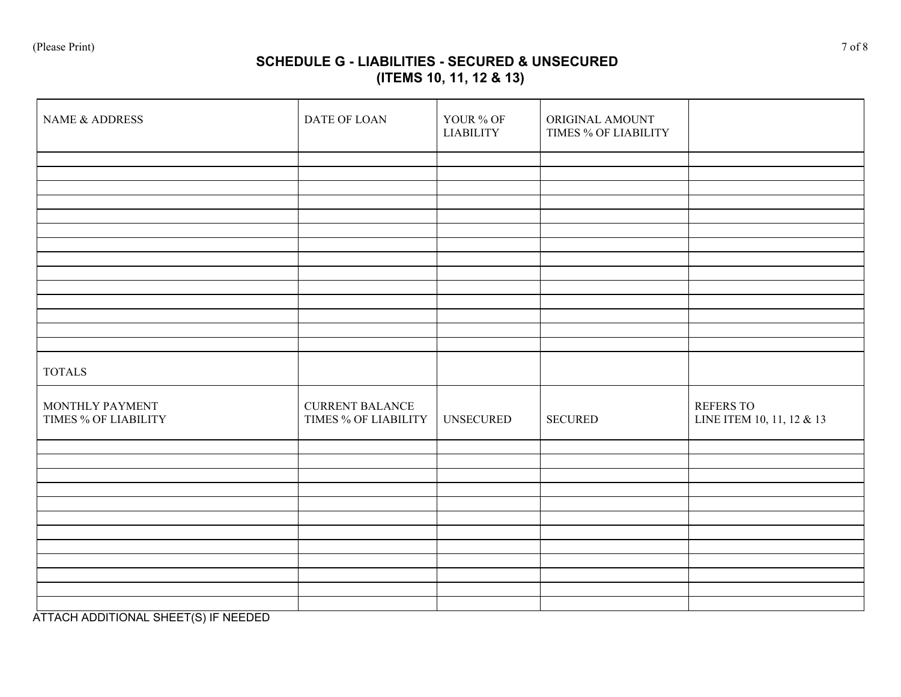# **SCHEDULE G - LIABILITIES - SECURED & UNSECURED (ITEMS 10, 11, 12 & 13)**

| NAME & ADDRESS                          | DATE OF LOAN                                   | YOUR % OF<br><b>LIABILITY</b> | ORIGINAL AMOUNT<br>TIMES % OF LIABILITY |                                        |
|-----------------------------------------|------------------------------------------------|-------------------------------|-----------------------------------------|----------------------------------------|
|                                         |                                                |                               |                                         |                                        |
|                                         |                                                |                               |                                         |                                        |
|                                         |                                                |                               |                                         |                                        |
|                                         |                                                |                               |                                         |                                        |
|                                         |                                                |                               |                                         |                                        |
|                                         |                                                |                               |                                         |                                        |
|                                         |                                                |                               |                                         |                                        |
| <b>TOTALS</b>                           |                                                |                               |                                         |                                        |
| MONTHLY PAYMENT<br>TIMES % OF LIABILITY | <b>CURRENT BALANCE</b><br>TIMES % OF LIABILITY | <b>UNSECURED</b>              | <b>SECURED</b>                          | REFERS TO<br>LINE ITEM 10, 11, 12 & 13 |
|                                         |                                                |                               |                                         |                                        |
|                                         |                                                |                               |                                         |                                        |
|                                         |                                                |                               |                                         |                                        |
|                                         |                                                |                               |                                         |                                        |
|                                         |                                                |                               |                                         |                                        |
|                                         |                                                |                               |                                         |                                        |
|                                         |                                                |                               |                                         |                                        |

ATTACH ADDITIONAL SHEET(S) IF NEEDED